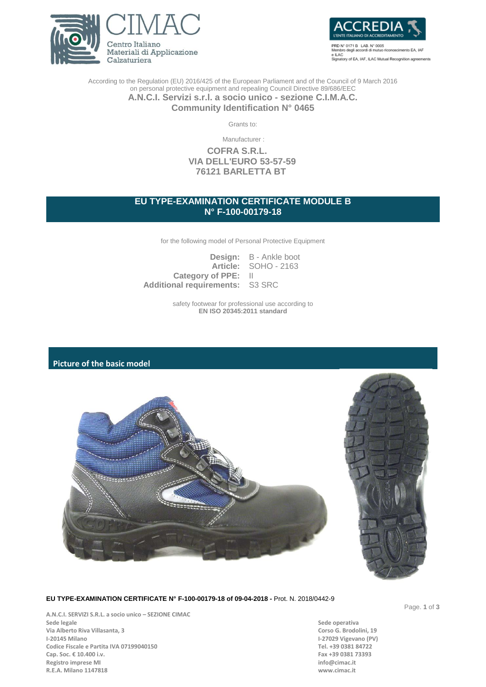



PRD N' 0171 B LAB. N' 0005 cimento EA, IAF o degli e ILAC<br>Signatory of EA, IAF, ILAC Mutual Recognition agreements

According to the Regulation (EU) 2016/425 of the European Parliament and of the Council of 9 March 2016 on personal protective equipment and repealing Council Directive 89/686/EEC **A.N.C.I. Servizi s.r.l. a socio unico - sezione C.I.M.A.C.**

**Community Identification N° 0465**

Grants to:

Manufacturer :

**COFRA S.R.L. VIA DELL'EURO 53-57-59 76121 BARLETTA BT**

# **EU TYPE-EXAMINATION CERTIFICATE MODULE B N° F-100-00179-18**

for the following model of Personal Protective Equipment

|                                        | <b>Design:</b> B - Ankle boot |
|----------------------------------------|-------------------------------|
|                                        | <b>Article: SOHO - 2163</b>   |
| Category of PPE: II                    |                               |
| <b>Additional requirements: S3 SRC</b> |                               |

safety footwear for professional use according to **EN ISO 20345:2011 standard**

# **Picture of the basic model**



## **EU TYPE-EXAMINATION CERTIFICATE N° F-100-00179-18 of 09-04-2018 -** Prot. N. 2018/0442-9

**A.N.C.I. SERVIZI S.R.L. a socio unico – SEZIONE CIMAC** Via Alberto Riva Villasanta, 3<br>I-20145 Milano **Codice Fiscale e Partita IVA 07199040150 Tel. +39 0381 84722**<br> **Cap. Soc. € 10.400 i.v. Tel. +39 0381 73393** Cap. Soc. € 10.400 i.v.<br>**Registro imprese MI Registro imprese MI R.E.A. Milano 1147818 www.cimac.it**

**Sede operativa<br>Corso G. Brodolini, 19 I-27029 Vigevano (PV)**<br>Tel. +39 0381 84722 Page. **1** of **3**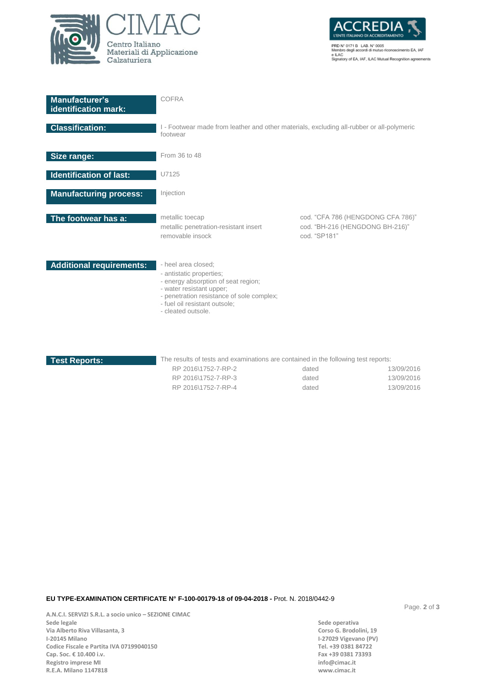



PRD N° 0171 B LAB. N° 0005<br>Membro degli accordi di mutuo riconoscimento EA, IAF<br>e ILAC<br>Signatory of EA, IAF, ILAC Mutual Recognition agreements

| <b>Manufacturer's</b><br>identification mark: | COFRA                                                                                                                                                                                                                  |                                                                                      |  |
|-----------------------------------------------|------------------------------------------------------------------------------------------------------------------------------------------------------------------------------------------------------------------------|--------------------------------------------------------------------------------------|--|
| <b>Classification:</b>                        | I - Footwear made from leather and other materials, excluding all-rubber or all-polymeric<br>footwear                                                                                                                  |                                                                                      |  |
| Size range:                                   | From 36 to 48                                                                                                                                                                                                          |                                                                                      |  |
| <b>Identification of last:</b>                | U7125                                                                                                                                                                                                                  |                                                                                      |  |
| <b>Manufacturing process:</b>                 | Injection                                                                                                                                                                                                              |                                                                                      |  |
| The footwear has a:                           | metallic toecap<br>metallic penetration-resistant insert<br>removable insock                                                                                                                                           | cod. "CFA 786 (HENGDONG CFA 786)"<br>cod. "BH-216 (HENGDONG BH-216)"<br>cod. "SP181" |  |
| <b>Additional requirements:</b>               | - heel area closed;<br>- antistatic properties:<br>- energy absorption of seat region;<br>- water resistant upper;<br>- penetration resistance of sole complex;<br>- fuel oil resistant outsole;<br>- cleated outsole. |                                                                                      |  |

**Test Reports:** The results of tests and examinations are contained in the following test reports:

| RP 2016\1752-7-RP-2 | dated | 13/09/2016 |
|---------------------|-------|------------|
| RP 2016\1752-7-RP-3 | dated | 13/09/2016 |
| RP 2016\1752-7-RP-4 | dated | 13/09/2016 |

### **EU TYPE-EXAMINATION CERTIFICATE N° F-100-00179-18 of 09-04-2018 -** Prot. N. 2018/0442-9

**A.N.C.I. SERVIZI S.R.L. a socio unico – SEZIONE CIMAC** Via Alberto Riva Villasanta, 3<br>I-20145 Milano **Codice Fiscale e Partita IVA 07199040150 Tel. +39 0381 84722**<br> **Cap. Soc. € 10.400 i.v. Tel. +39 0381 73393** Cap. Soc. € 10.400 i.v.<br> **Registro imprese MI** and the set of the set of the set of the set of the set of the set of the set of the set of the set of the set of the set of the set of the set of the set of the set of the s **Registro imprese MI R.E.A. Milano 1147818 www.cimac.it**

**Sede operativa<br>Corso G. Brodolini, 19 I-27029 Vigevano (PV)**<br>Tel. +39 0381 84722 Page. **2** of **3**